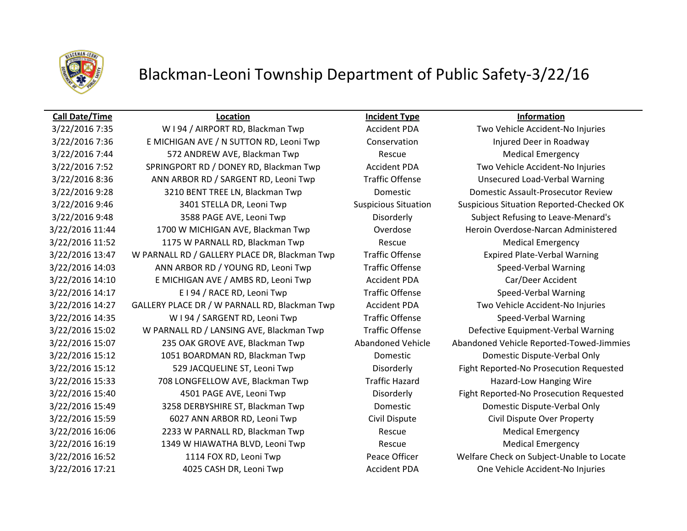

## Blackman-Leoni Township Department of Public Safety-3/22/16

### **Call Date/Time Location Incident Type Information**

3/22/2016 7:36 E MICHIGAN AVE / N SUTTON RD, Leoni Twp Conservation Injured Deer in Roadway 3/22/2016 7:44 572 ANDREW AVE, Blackman Twp Rescue Medical Emergency 3/22/2016 7:52 SPRINGPORT RD / DONEY RD, Blackman Twp Accident PDA Two Vehicle Accident-No Injuries 3/22/2016 8:36 ANN ARBOR RD / SARGENT RD, Leoni Twp Traffic Offense Unsecured Load-Verbal Warning 3/22/2016 9:28 3210 BENT TREE LN, Blackman Twp Domestic Domestic Assault-Prosecutor Review 3/22/2016 9:46 3401 STELLA DR, Leoni Twp Suspicious Situation Suspicious Situation Reported-Checked OK 3/22/2016 9:48 3588 PAGE AVE, Leoni Twp Disorderly Subject Refusing to Leave-Menard's 3/22/2016 11:44 1700 W MICHIGAN AVE, Blackman Twp Coverdose Coverdose Heroin Overdose-Narcan Administered 3/22/2016 11:52 1175 W PARNALL RD, Blackman Twp Rescue Rescue Medical Emergency 3/22/2016 13:47 W PARNALL RD / GALLERY PLACE DR, Blackman Twp Traffic Offense Expired Plate-Verbal Warning 3/22/2016 14:03 ANN ARBOR RD / YOUNG RD, Leoni Twp Traffic Offense Speed-Verbal Warning 3/22/2016 14:10 E MICHIGAN AVE / AMBS RD, Leoni Twp Accident PDA Car/Deer Accident 3/22/2016 14:17 **E I 94 / RACE RD, Leoni Twp** Traffic Offense Speed-Verbal Warning 3/22/2016 14:27 GALLERY PLACE DR / W PARNALL RD, Blackman Twp Accident PDA Two Vehicle Accident-No Injuries 3/22/2016 14:35 W I 94 / SARGENT RD, Leoni Twp Traffic Offense Speed-Verbal Warning 3/22/2016 15:02 W PARNALL RD / LANSING AVE, Blackman Twp Traffic Offense Defective Equipment-Verbal Warning 3/22/2016 15:07 235 OAK GROVE AVE, Blackman Twp Abandoned Vehicle Abandoned Vehicle Reported-Towed-Jimmies 3/22/2016 15:12 1051 BOARDMAN RD, Blackman Twp Domestic Domestic Dispute-Verbal Only 3/22/2016 15:12 529 JACQUELINE ST, Leoni Twp Disorderly Fight Reported-No Prosecution Requested 3/22/2016 15:33 708 LONGFELLOW AVE, Blackman Twp Traffic Hazard Hazard-Low Hanging Wire 3/22/2016 15:40 4501 PAGE AVE, Leoni Twp Disorderly Fight Reported-No Prosecution Requested 3/22/2016 15:49 3258 DERBYSHIRE ST, Blackman Twp Domestic Domestic Dispute-Verbal Only 3/22/2016 15:59 6027 ANN ARBOR RD, Leoni Twp Civil Dispute Civil Dispute Over Property 3/22/2016 16:06 2233 W PARNALL RD, Blackman Twp Rescue Medical Emergency 3/22/2016 16:19 1349 W HIAWATHA BLVD, Leoni Twp Rescue Rescue Medical Emergency 3/22/2016 16:52 1114 FOX RD, Leoni Twp Peace Officer Welfare Check on Subject-Unable to Locate 3/22/2016 17:21 4025 CASH DR, Leoni Twp Accident PDA One Vehicle Accident-No Injuries

3/22/2016 7:35 W I 94 / AIRPORT RD, Blackman Twp Accident PDA Two Vehicle Accident-No Injuries